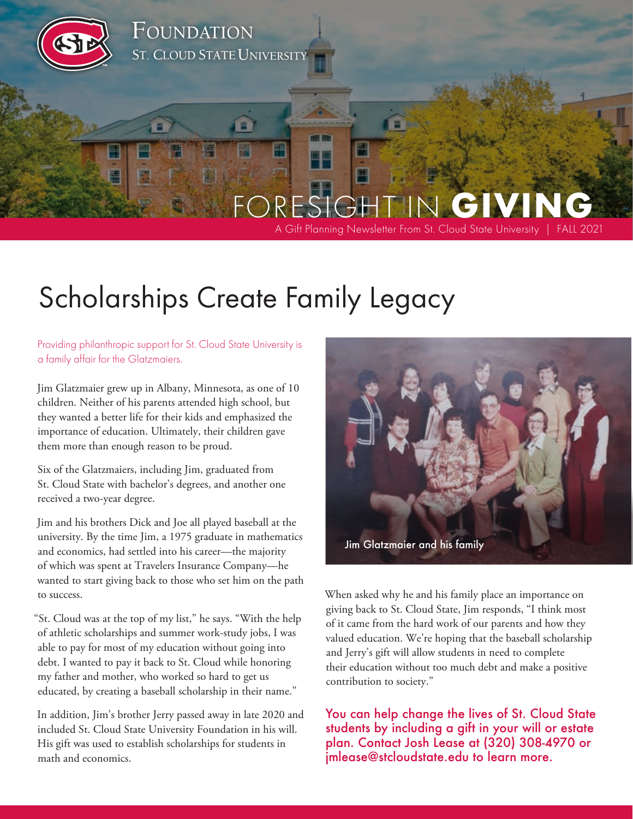

# Scholarships Create Family Legacy

Providing philanthropic support for St. Cloud State University is a family affair for the Glatzmaiers.

Jim Glatzmaier grew up in Albany, Minnesota, as one of 10 children. Neither of his parents attended high school, but they wanted a better life for their kids and emphasized the importance of education. Ultimately, their children gave them more than enough reason to be proud.

Six of the Glatzmaiers, including Jim, graduated from St. Cloud State with bachelor's degrees, and another one received a two-year degree.

Jim and his brothers Dick and Joe all played baseball at the university. By the time Jim, a 1975 graduate in mathematics and economics, had settled into his career—the majority of which was spent at Travelers Insurance Company—he wanted to start giving back to those who set him on the path to success.

"St. Cloud was at the top of my list," he says. "With the help of athletic scholarships and summer work-study jobs, I was able to pay for most of my education without going into debt. I wanted to pay it back to St. Cloud while honoring my father and mother, who worked so hard to get us educated, by creating a baseball scholarship in their name."

In addition, Jim's brother Jerry passed away in late 2020 and included St. Cloud State University Foundation in his will. His gift was used to establish scholarships for students in math and economics.



When asked why he and his family place an importance on giving back to St. Cloud State, Jim responds, "I think most of it came from the hard work of our parents and how they valued education. We're hoping that the baseball scholarship and Jerry's gift will allow students in need to complete their education without too much debt and make a positive contribution to society."

You can help change the lives of St. Cloud State students by including a gift in your will or estate plan. Contact Josh Lease at (320) 308-4970 or [jmlease@stcloudstate.edu](mailto:jmlease@stcloudstate.edu) to learn more.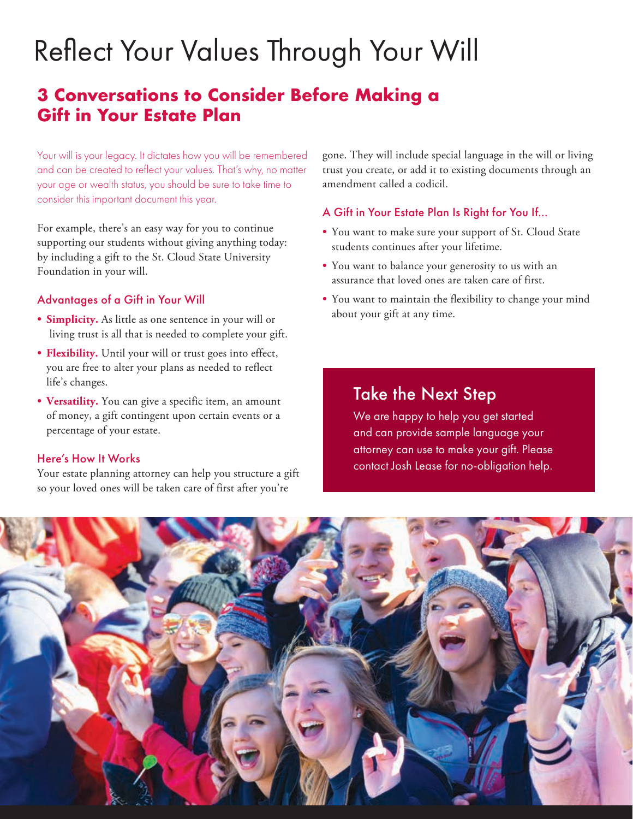# Reflect Your Values Through Your Will

## **3 Conversations to Consider Before Making a Gift in Your Estate Plan**

Your will is your legacy. It dictates how you will be remembered and can be created to reflect your values. That's why, no matter your age or wealth status, you should be sure to take time to consider this important document this year.

For example, there's an easy way for you to continue supporting our students without giving anything today: by including a gift to the St. Cloud State University Foundation in your will.

### Advantages of a Gift in Your Will

- **Simplicity.** As little as one sentence in your will or living trust is all that is needed to complete your gift.
- **Flexibility.** Until your will or trust goes into effect, you are free to alter your plans as needed to reflect life's changes.
- **Versatility.** You can give a specific item, an amount of money, a gift contingent upon certain events or a percentage of your estate.

### Here's How It Works

Your estate planning attorney can help you structure a gift so your loved ones will be taken care of first after you're

gone. They will include special language in the will or living trust you create, or add it to existing documents through an amendment called a codicil.

### A Gift in Your Estate Plan Is Right for You If…

- You want to make sure your support of St. Cloud State students continues after your lifetime.
- You want to balance your generosity to us with an assurance that loved ones are taken care of first.
- You want to maintain the flexibility to change your mind about your gift at any time.

### Take the Next Step

We are happy to help you get started and can provide sample language your attorney can use to make your gift. Please contact Josh Lease for no-obligation help.

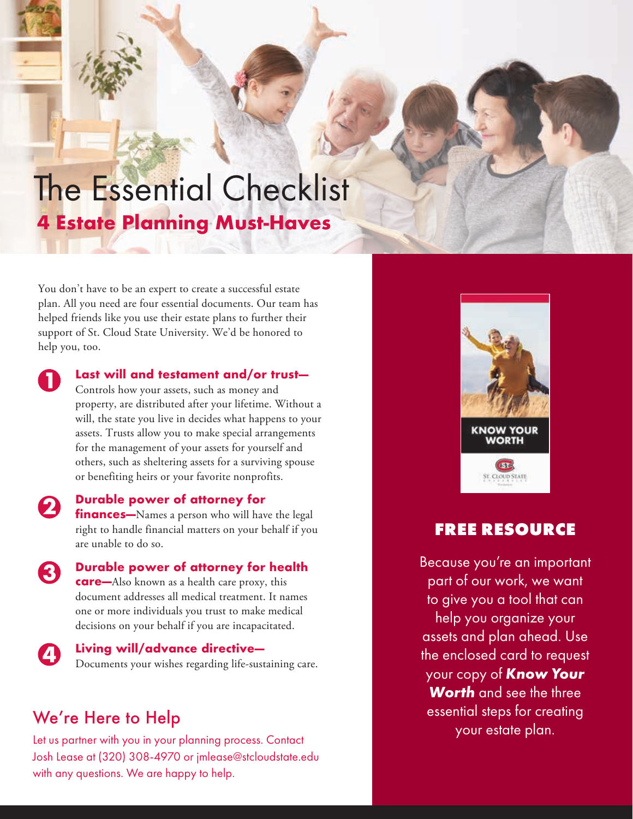# The Essential Checklist **4 Estate Planning Must-Haves**

You don't have to be an expert to create a successful estate plan. All you need are four essential documents. Our team has helped friends like you use their estate plans to further their support of St. Cloud State University. We'd be honored to help you, too.

 $\mathbf 1$ 

### **Last will and testament and/or trust—**

- Controls how your assets, such as money and property, are distributed after your lifetime. Without a will, the state you live in decides what happens to your assets. Trusts allow you to make special arrangements for the management of your assets for yourself and others, such as sheltering assets for a surviving spouse or benefiting heirs or your favorite nonprofits.
- **Durable power of attorney for finances—**Names a person who will have the legal right to handle financial matters on your behalf if you are unable to do so.
- **Durable power of attorney for health**  3 **care—**Also known as a health care proxy, this document addresses all medical treatment. It names one or more individuals you trust to make medical decisions on your behalf if you are incapacitated.
	- **Living will/advance directive—** Documents your wishes regarding life-sustaining care.

### We're Here to Help

Let us partner with you in your planning process. Contact Josh Lease at (320) 308-4970 or jmlease@stcloudstate.edu with any questions. We are happy to help.



### **FREE RESOURCE**

Because you're an important part of our work, we want to give you a tool that can help you organize your assets and plan ahead. Use the enclosed card to request your copy of *Know Your Worth* and see the three essential steps for creating your estate plan.